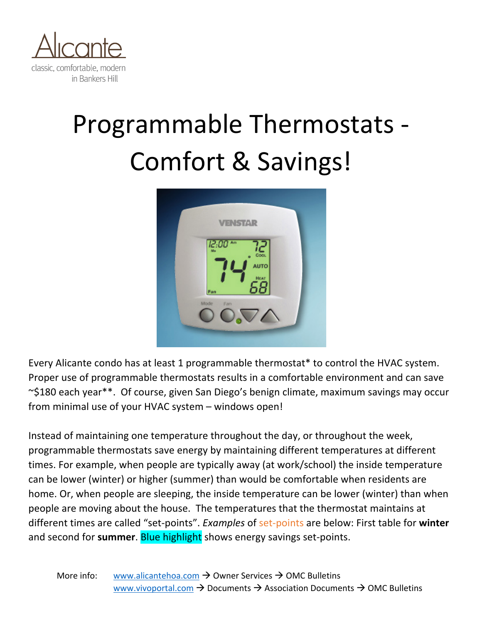

## Programmable Thermostats -Comfort & Savings!



Every Alicante condo has at least 1 programmable thermostat\* to control the HVAC system. Proper use of programmable thermostats results in a comfortable environment and can save ~\$180 each year\*\*. Of course, given San Diego's benign climate, maximum savings may occur from minimal use of your HVAC system – windows open!

Instead of maintaining one temperature throughout the day, or throughout the week, programmable thermostats save energy by maintaining different temperatures at different times. For example, when people are typically away (at work/school) the inside temperature can be lower (winter) or higher (summer) than would be comfortable when residents are home. Or, when people are sleeping, the inside temperature can be lower (winter) than when people are moving about the house. The temperatures that the thermostat maintains at different times are called "set-points". *Examples* of set-points are below: First table for **winter** and second for **summer**. Blue highlight shows energy savings set-points.